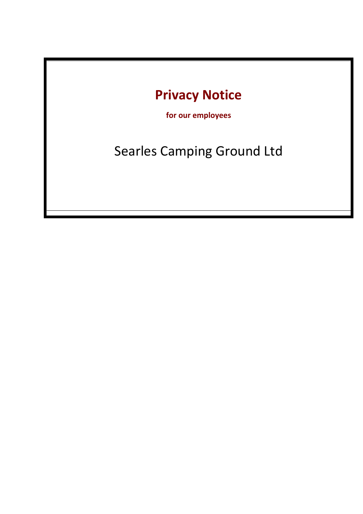# **Privacy Notice**

**for our employees** 

Searles Camping Ground Ltd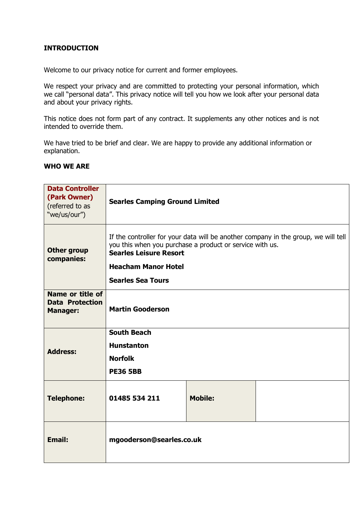# **INTRODUCTION**

Welcome to our privacy notice for current and former employees.

We respect your privacy and are committed to protecting your personal information, which we call "personal data". This privacy notice will tell you how we look after your personal data and about your privacy rights.

This notice does not form part of any contract. It supplements any other notices and is not intended to override them.

We have tried to be brief and clear. We are happy to provide any additional information or explanation.

| <b>Data Controller</b><br>(Park Owner)<br>(referred to as<br>"we/us/our") | <b>Searles Camping Ground Limited</b>                                                                                                                                                                                                     |                |  |
|---------------------------------------------------------------------------|-------------------------------------------------------------------------------------------------------------------------------------------------------------------------------------------------------------------------------------------|----------------|--|
| <b>Other group</b><br>companies:                                          | If the controller for your data will be another company in the group, we will tell<br>you this when you purchase a product or service with us.<br><b>Searles Leisure Resort</b><br><b>Heacham Manor Hotel</b><br><b>Searles Sea Tours</b> |                |  |
| Name or title of<br><b>Data Protection</b><br><b>Manager:</b>             | <b>Martin Gooderson</b>                                                                                                                                                                                                                   |                |  |
| <b>Address:</b>                                                           | <b>South Beach</b><br><b>Hunstanton</b><br><b>Norfolk</b><br><b>PE36 5BB</b>                                                                                                                                                              |                |  |
| <b>Telephone:</b>                                                         | 01485 534 211                                                                                                                                                                                                                             | <b>Mobile:</b> |  |
| <b>Email:</b>                                                             | mgooderson@searles.co.uk                                                                                                                                                                                                                  |                |  |

# **WHO WE ARE**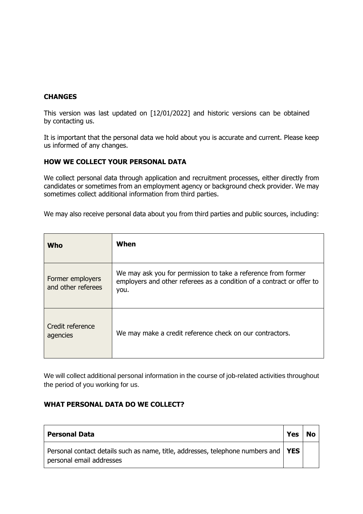## **CHANGES**

This version was last updated on [12/01/2022] and historic versions can be obtained by contacting us.

It is important that the personal data we hold about you is accurate and current. Please keep us informed of any changes.

## **HOW WE COLLECT YOUR PERSONAL DATA**

We collect personal data through application and recruitment processes, either directly from candidates or sometimes from an employment agency or background check provider. We may sometimes collect additional information from third parties.

We may also receive personal data about you from third parties and public sources, including:

| Who                                    | When                                                                                                                                           |
|----------------------------------------|------------------------------------------------------------------------------------------------------------------------------------------------|
| Former employers<br>and other referees | We may ask you for permission to take a reference from former<br>employers and other referees as a condition of a contract or offer to<br>you. |
| Credit reference<br>agencies           | We may make a credit reference check on our contractors.                                                                                       |

We will collect additional personal information in the course of job-related activities throughout the period of you working for us.

# **WHAT PERSONAL DATA DO WE COLLECT?**

| <b>Personal Data</b>                                                                                                   | <b>Yes</b> | No |
|------------------------------------------------------------------------------------------------------------------------|------------|----|
| Personal contact details such as name, title, addresses, telephone numbers and $\vert$ YES<br>personal email addresses |            |    |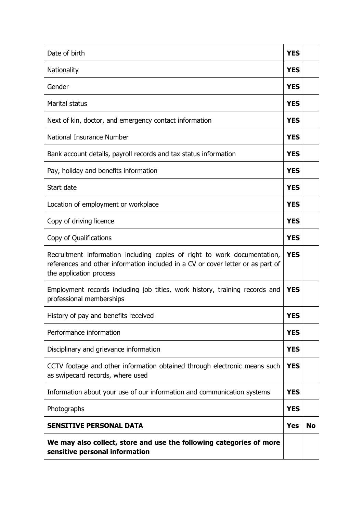| Date of birth                                                                                                                                                                          | <b>YES</b> |           |
|----------------------------------------------------------------------------------------------------------------------------------------------------------------------------------------|------------|-----------|
| Nationality                                                                                                                                                                            | <b>YES</b> |           |
| Gender                                                                                                                                                                                 | <b>YES</b> |           |
| Marital status                                                                                                                                                                         | <b>YES</b> |           |
| Next of kin, doctor, and emergency contact information                                                                                                                                 | <b>YES</b> |           |
| National Insurance Number                                                                                                                                                              | <b>YES</b> |           |
| Bank account details, payroll records and tax status information                                                                                                                       | <b>YES</b> |           |
| Pay, holiday and benefits information                                                                                                                                                  | <b>YES</b> |           |
| Start date                                                                                                                                                                             | <b>YES</b> |           |
| Location of employment or workplace                                                                                                                                                    | <b>YES</b> |           |
| Copy of driving licence                                                                                                                                                                | <b>YES</b> |           |
| Copy of Qualifications                                                                                                                                                                 | <b>YES</b> |           |
| Recruitment information including copies of right to work documentation,<br>references and other information included in a CV or cover letter or as part of<br>the application process | <b>YES</b> |           |
| Employment records including job titles, work history, training records and<br>professional memberships                                                                                | <b>YES</b> |           |
| History of pay and benefits received                                                                                                                                                   | <b>YES</b> |           |
| Performance information                                                                                                                                                                | <b>YES</b> |           |
| Disciplinary and grievance information                                                                                                                                                 | <b>YES</b> |           |
| CCTV footage and other information obtained through electronic means such<br>as swipecard records, where used                                                                          | <b>YES</b> |           |
| Information about your use of our information and communication systems                                                                                                                | <b>YES</b> |           |
| Photographs                                                                                                                                                                            | <b>YES</b> |           |
| <b>SENSITIVE PERSONAL DATA</b>                                                                                                                                                         | <b>Yes</b> | <b>No</b> |
| We may also collect, store and use the following categories of more<br>sensitive personal information                                                                                  |            |           |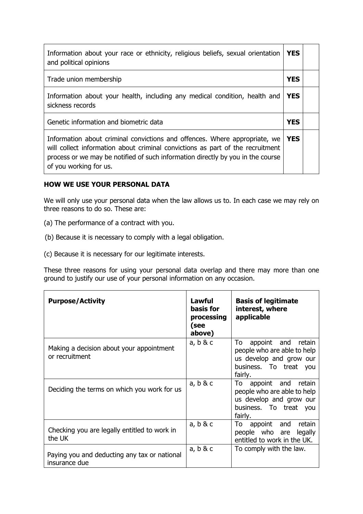| Information about your race or ethnicity, religious beliefs, sexual orientation<br>and political opinions                                                                                                                                                                 | <b>YES</b> |  |
|---------------------------------------------------------------------------------------------------------------------------------------------------------------------------------------------------------------------------------------------------------------------------|------------|--|
| Trade union membership                                                                                                                                                                                                                                                    | <b>YES</b> |  |
| Information about your health, including any medical condition, health and<br>sickness records                                                                                                                                                                            | <b>YES</b> |  |
| Genetic information and biometric data                                                                                                                                                                                                                                    | <b>YES</b> |  |
| Information about criminal convictions and offences. Where appropriate, we<br>will collect information about criminal convictions as part of the recruitment<br>process or we may be notified of such information directly by you in the course<br>of you working for us. |            |  |

## **HOW WE USE YOUR PERSONAL DATA**

We will only use your personal data when the law allows us to. In each case we may rely on three reasons to do so. These are:

- (a) The performance of a contract with you.
- (b) Because it is necessary to comply with a legal obligation.
- (c) Because it is necessary for our legitimate interests.

These three reasons for using your personal data overlap and there may more than one ground to justify our use of your personal information on any occasion.

| <b>Purpose/Activity</b>                                       | Lawful<br>basis for<br>processing<br>(see<br>above) | <b>Basis of legitimate</b><br>interest, where<br>applicable                                                             |
|---------------------------------------------------------------|-----------------------------------------------------|-------------------------------------------------------------------------------------------------------------------------|
| Making a decision about your appointment<br>or recruitment    | a, b & c                                            | appoint and retain<br>To<br>people who are able to help<br>us develop and grow our<br>business. To treat you<br>fairly. |
| Deciding the terms on which you work for us                   | a, b & c                                            | To appoint and retain<br>people who are able to help<br>us develop and grow our<br>business. To treat you<br>fairly.    |
| Checking you are legally entitled to work in<br>the UK        | a, b & c                                            | appoint and retain<br>To<br>people who are legally<br>entitled to work in the UK.                                       |
| Paying you and deducting any tax or national<br>insurance due | a, $b & c$                                          | To comply with the law.                                                                                                 |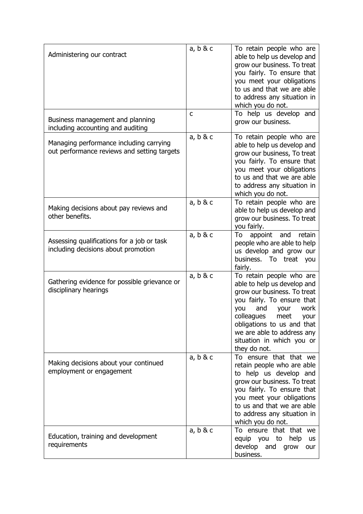| Administering our contract                                                             | a, b & c | To retain people who are<br>able to help us develop and<br>grow our business. To treat<br>you fairly. To ensure that<br>you meet your obligations<br>to us and that we are able<br>to address any situation in<br>which you do not.                                                    |
|----------------------------------------------------------------------------------------|----------|----------------------------------------------------------------------------------------------------------------------------------------------------------------------------------------------------------------------------------------------------------------------------------------|
| Business management and planning<br>including accounting and auditing                  | C        | To help us develop and<br>grow our business.                                                                                                                                                                                                                                           |
| Managing performance including carrying<br>out performance reviews and setting targets | a, b & c | To retain people who are<br>able to help us develop and<br>grow our business, To treat<br>you fairly. To ensure that<br>you meet your obligations<br>to us and that we are able<br>to address any situation in<br>which you do not.                                                    |
| Making decisions about pay reviews and<br>other benefits.                              | a, b & c | To retain people who are<br>able to help us develop and<br>grow our business. To treat<br>you fairly.                                                                                                                                                                                  |
| Assessing qualifications for a job or task<br>including decisions about promotion      | a, b & c | appoint<br>To<br>retain<br>and<br>people who are able to help<br>us develop and grow our<br>business. To treat you<br>fairly.                                                                                                                                                          |
| Gathering evidence for possible grievance or<br>disciplinary hearings                  | a, b & c | To retain people who are<br>able to help us develop and<br>grow our business. To treat<br>you fairly. To ensure that<br>and<br>work<br>your<br>you<br>colleagues meet<br>your<br>obligations to us and that<br>we are able to address any<br>situation in which you or<br>they do not. |
| Making decisions about your continued<br>employment or engagement                      | a, b & c | To ensure that that we<br>retain people who are able<br>to help us develop and<br>grow our business. To treat<br>you fairly. To ensure that<br>you meet your obligations<br>to us and that we are able<br>to address any situation in<br>which you do not.                             |
| Education, training and development<br>requirements                                    | a, b & c | To ensure that that we<br>equip you to<br>help<br><b>US</b><br>develop<br>and grow<br>our<br>business.                                                                                                                                                                                 |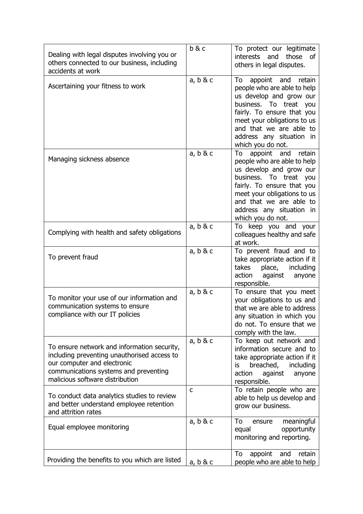| Dealing with legal disputes involving you or<br>others connected to our business, including<br>accidents at work                                                                                      | b & c        | To protect our legitimate<br>interests and those of<br>others in legal disputes.                                                                                                                                                                         |
|-------------------------------------------------------------------------------------------------------------------------------------------------------------------------------------------------------|--------------|----------------------------------------------------------------------------------------------------------------------------------------------------------------------------------------------------------------------------------------------------------|
| Ascertaining your fitness to work                                                                                                                                                                     | a, b & c     | appoint and<br>To<br>retain<br>people who are able to help<br>us develop and grow our<br>business. To treat you<br>fairly. To ensure that you<br>meet your obligations to us<br>and that we are able to<br>address any situation in<br>which you do not. |
| Managing sickness absence                                                                                                                                                                             | a, b & c     | To appoint and<br>retain<br>people who are able to help<br>us develop and grow our<br>business. To treat you<br>fairly. To ensure that you<br>meet your obligations to us<br>and that we are able to<br>address any situation in<br>which you do not.    |
| Complying with health and safety obligations                                                                                                                                                          | a, b & c     | To keep you and your<br>colleagues healthy and safe<br>at work.                                                                                                                                                                                          |
| To prevent fraud                                                                                                                                                                                      | a, b & c     | To prevent fraud and to<br>take appropriate action if it<br>takes<br>place, including<br>action<br>against<br>anyone<br>responsible.                                                                                                                     |
| To monitor your use of our information and<br>communication systems to ensure<br>compliance with our IT policies                                                                                      | a, b & c     | To ensure that you meet<br>your obligations to us and<br>that we are able to address<br>any situation in which you<br>do not. To ensure that we<br>comply with the law.                                                                                  |
| To ensure network and information security,<br>including preventing unauthorised access to<br>our computer and electronic<br>communications systems and preventing<br>malicious software distribution | a, b & c     | To keep out network and<br>information secure and to<br>take appropriate action if it<br>breached,<br>including<br><b>is</b><br>against<br>action<br>anyone<br>responsible.                                                                              |
| To conduct data analytics studies to review<br>and better understand employee retention<br>and attrition rates                                                                                        | $\mathsf{C}$ | To retain people who are<br>able to help us develop and<br>grow our business.                                                                                                                                                                            |
| Equal employee monitoring                                                                                                                                                                             | a, b & c     | To<br>meaningful<br>ensure<br>opportunity<br>equal<br>monitoring and reporting.                                                                                                                                                                          |
| Providing the benefits to you which are listed                                                                                                                                                        | a, b & c     | appoint and<br>To<br>retain<br>people who are able to help                                                                                                                                                                                               |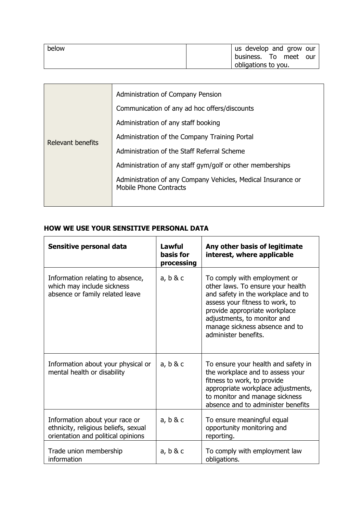| below | us develop and grow our<br>business. To meet our<br>obligations to you. |
|-------|-------------------------------------------------------------------------|
|       |                                                                         |

| Relevant benefits | Administration of Company Pension                                                      |
|-------------------|----------------------------------------------------------------------------------------|
|                   | Communication of any ad hoc offers/discounts                                           |
|                   | Administration of any staff booking                                                    |
|                   | Administration of the Company Training Portal                                          |
|                   | Administration of the Staff Referral Scheme                                            |
|                   | Administration of any staff gym/golf or other memberships                              |
|                   | Administration of any Company Vehicles, Medical Insurance or<br>Mobile Phone Contracts |
|                   |                                                                                        |

## **HOW WE USE YOUR SENSITIVE PERSONAL DATA**

| Sensitive personal data                                                                                      | Lawful<br>basis for<br>processing | Any other basis of legitimate<br>interest, where applicable                                                                                                                                                                                                          |
|--------------------------------------------------------------------------------------------------------------|-----------------------------------|----------------------------------------------------------------------------------------------------------------------------------------------------------------------------------------------------------------------------------------------------------------------|
| Information relating to absence,<br>which may include sickness<br>absence or family related leave            | a, b & c                          | To comply with employment or<br>other laws. To ensure your health<br>and safety in the workplace and to<br>assess your fitness to work, to<br>provide appropriate workplace<br>adjustments, to monitor and<br>manage sickness absence and to<br>administer benefits. |
| Information about your physical or<br>mental health or disability                                            | a, b & c                          | To ensure your health and safety in<br>the workplace and to assess your<br>fitness to work, to provide<br>appropriate workplace adjustments,<br>to monitor and manage sickness<br>absence and to administer benefits                                                 |
| Information about your race or<br>ethnicity, religious beliefs, sexual<br>orientation and political opinions | a, b & c                          | To ensure meaningful equal<br>opportunity monitoring and<br>reporting.                                                                                                                                                                                               |
| Trade union membership<br>information                                                                        | a, b & c                          | To comply with employment law<br>obligations.                                                                                                                                                                                                                        |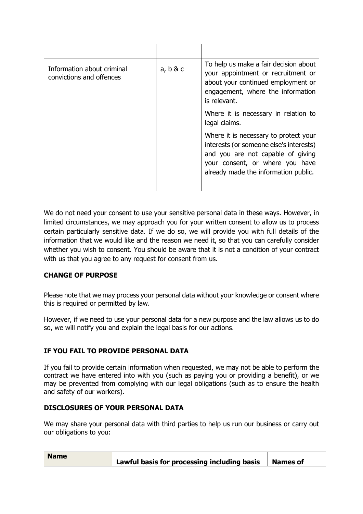| Information about criminal<br>convictions and offences | a, b & c | To help us make a fair decision about<br>your appointment or recruitment or<br>about your continued employment or<br>engagement, where the information<br>is relevant.                           |
|--------------------------------------------------------|----------|--------------------------------------------------------------------------------------------------------------------------------------------------------------------------------------------------|
|                                                        |          | Where it is necessary in relation to<br>legal claims.                                                                                                                                            |
|                                                        |          | Where it is necessary to protect your<br>interests (or someone else's interests)<br>and you are not capable of giving<br>your consent, or where you have<br>already made the information public. |

We do not need your consent to use your sensitive personal data in these ways. However, in limited circumstances, we may approach you for your written consent to allow us to process certain particularly sensitive data. If we do so, we will provide you with full details of the information that we would like and the reason we need it, so that you can carefully consider whether you wish to consent. You should be aware that it is not a condition of your contract with us that you agree to any request for consent from us.

# **CHANGE OF PURPOSE**

Please note that we may process your personal data without your knowledge or consent where this is required or permitted by law.

However, if we need to use your personal data for a new purpose and the law allows us to do so, we will notify you and explain the legal basis for our actions.

# **IF YOU FAIL TO PROVIDE PERSONAL DATA**

If you fail to provide certain information when requested, we may not be able to perform the contract we have entered into with you (such as paying you or providing a benefit), or we may be prevented from complying with our legal obligations (such as to ensure the health and safety of our workers).

# **DISCLOSURES OF YOUR PERSONAL DATA**

We may share your personal data with third parties to help us run our business or carry out our obligations to you:

| <b>Name</b><br>Lawful basis for processing including basis<br><b>Names of</b> |  |
|-------------------------------------------------------------------------------|--|
|-------------------------------------------------------------------------------|--|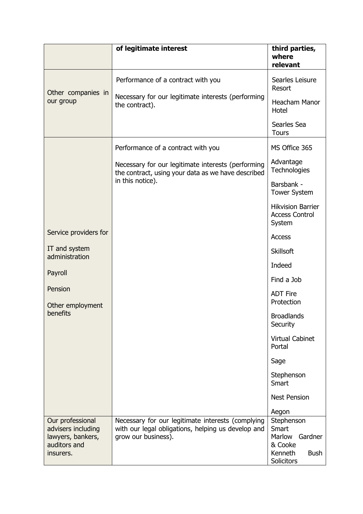|                                                                                          | of legitimate interest                                                                                                         | third parties,<br>where<br>relevant                                                      |
|------------------------------------------------------------------------------------------|--------------------------------------------------------------------------------------------------------------------------------|------------------------------------------------------------------------------------------|
| Other companies in<br>our group                                                          | Performance of a contract with you                                                                                             | Searles Leisure<br>Resort                                                                |
|                                                                                          | Necessary for our legitimate interests (performing<br>the contract).                                                           | <b>Heacham Manor</b><br>Hotel                                                            |
|                                                                                          |                                                                                                                                | Searles Sea<br><b>Tours</b>                                                              |
|                                                                                          | Performance of a contract with you                                                                                             | MS Office 365                                                                            |
|                                                                                          | Necessary for our legitimate interests (performing<br>the contract, using your data as we have described<br>in this notice).   | Advantage<br><b>Technologies</b>                                                         |
|                                                                                          |                                                                                                                                | Barsbank -<br><b>Tower System</b>                                                        |
|                                                                                          |                                                                                                                                | <b>Hikvision Barrier</b><br><b>Access Control</b><br>System                              |
| Service providers for                                                                    |                                                                                                                                | <b>Access</b>                                                                            |
| IT and system<br>administration                                                          |                                                                                                                                | <b>Skillsoft</b>                                                                         |
|                                                                                          |                                                                                                                                | Indeed                                                                                   |
| Payroll                                                                                  |                                                                                                                                | Find a Job                                                                               |
| Pension<br>Other employment                                                              |                                                                                                                                | <b>ADT Fire</b><br>Protection                                                            |
| benefits                                                                                 |                                                                                                                                | <b>Broadlands</b><br>Security                                                            |
|                                                                                          |                                                                                                                                | <b>Virtual Cabinet</b><br>Portal                                                         |
|                                                                                          |                                                                                                                                | Sage                                                                                     |
|                                                                                          |                                                                                                                                | Stephenson<br>Smart                                                                      |
|                                                                                          |                                                                                                                                | <b>Nest Pension</b>                                                                      |
|                                                                                          |                                                                                                                                | Aegon                                                                                    |
| Our professional<br>advisers including<br>lawyers, bankers,<br>auditors and<br>insurers. | Necessary for our legitimate interests (complying<br>with our legal obligations, helping us develop and<br>grow our business). | Stephenson<br>Smart<br>Marlow Gardner<br>& Cooke<br>Kenneth<br><b>Bush</b><br>Solicitors |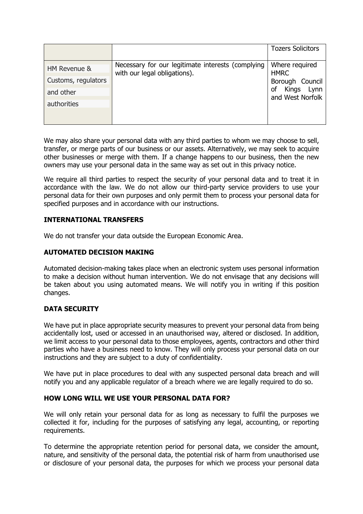|                         |                                                                                   | <b>Tozers Solicitors</b>                |
|-------------------------|-----------------------------------------------------------------------------------|-----------------------------------------|
| <b>HM Revenue &amp;</b> | Necessary for our legitimate interests (complying<br>with our legal obligations). | Where required<br><b>HMRC</b>           |
| Customs, regulators     |                                                                                   | Borough Council                         |
| and other               |                                                                                   | Kings<br>Lynn<br>οf<br>and West Norfolk |
| authorities             |                                                                                   |                                         |
|                         |                                                                                   |                                         |

We may also share your personal data with any third parties to whom we may choose to sell, transfer, or merge parts of our business or our assets. Alternatively, we may seek to acquire other businesses or merge with them. If a change happens to our business, then the new owners may use your personal data in the same way as set out in this privacy notice.

We require all third parties to respect the security of your personal data and to treat it in accordance with the law. We do not allow our third-party service providers to use your personal data for their own purposes and only permit them to process your personal data for specified purposes and in accordance with our instructions.

## **INTERNATIONAL TRANSFERS**

We do not transfer your data outside the European Economic Area.

# **AUTOMATED DECISION MAKING**

Automated decision-making takes place when an electronic system uses personal information to make a decision without human intervention. We do not envisage that any decisions will be taken about you using automated means. We will notify you in writing if this position changes.

# **DATA SECURITY**

We have put in place appropriate security measures to prevent your personal data from being accidentally lost, used or accessed in an unauthorised way, altered or disclosed. In addition, we limit access to your personal data to those employees, agents, contractors and other third parties who have a business need to know. They will only process your personal data on our instructions and they are subject to a duty of confidentiality.

We have put in place procedures to deal with any suspected personal data breach and will notify you and any applicable regulator of a breach where we are legally required to do so.

#### **HOW LONG WILL WE USE YOUR PERSONAL DATA FOR?**

We will only retain your personal data for as long as necessary to fulfil the purposes we collected it for, including for the purposes of satisfying any legal, accounting, or reporting requirements.

To determine the appropriate retention period for personal data, we consider the amount, nature, and sensitivity of the personal data, the potential risk of harm from unauthorised use or disclosure of your personal data, the purposes for which we process your personal data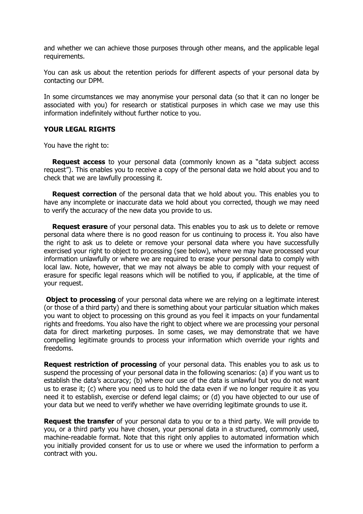and whether we can achieve those purposes through other means, and the applicable legal requirements.

You can ask us about the retention periods for different aspects of your personal data by contacting our DPM.

In some circumstances we may anonymise your personal data (so that it can no longer be associated with you) for research or statistical purposes in which case we may use this information indefinitely without further notice to you.

#### **YOUR LEGAL RIGHTS**

You have the right to:

 **Request access** to your personal data (commonly known as a "data subject access request"). This enables you to receive a copy of the personal data we hold about you and to check that we are lawfully processing it.

**Request correction** of the personal data that we hold about you. This enables you to have any incomplete or inaccurate data we hold about you corrected, though we may need to verify the accuracy of the new data you provide to us.

 **Request erasure** of your personal data. This enables you to ask us to delete or remove personal data where there is no good reason for us continuing to process it. You also have the right to ask us to delete or remove your personal data where you have successfully exercised your right to object to processing (see below), where we may have processed your information unlawfully or where we are required to erase your personal data to comply with local law. Note, however, that we may not always be able to comply with your request of erasure for specific legal reasons which will be notified to you, if applicable, at the time of your request.

**Object to processing** of your personal data where we are relying on a legitimate interest (or those of a third party) and there is something about your particular situation which makes you want to object to processing on this ground as you feel it impacts on your fundamental rights and freedoms. You also have the right to object where we are processing your personal data for direct marketing purposes. In some cases, we may demonstrate that we have compelling legitimate grounds to process your information which override your rights and freedoms.

**Request restriction of processing** of your personal data. This enables you to ask us to suspend the processing of your personal data in the following scenarios: (a) if you want us to establish the data's accuracy; (b) where our use of the data is unlawful but you do not want us to erase it; (c) where you need us to hold the data even if we no longer require it as you need it to establish, exercise or defend legal claims; or (d) you have objected to our use of your data but we need to verify whether we have overriding legitimate grounds to use it.

**Request the transfer** of your personal data to you or to a third party. We will provide to you, or a third party you have chosen, your personal data in a structured, commonly used, machine-readable format. Note that this right only applies to automated information which you initially provided consent for us to use or where we used the information to perform a contract with you.